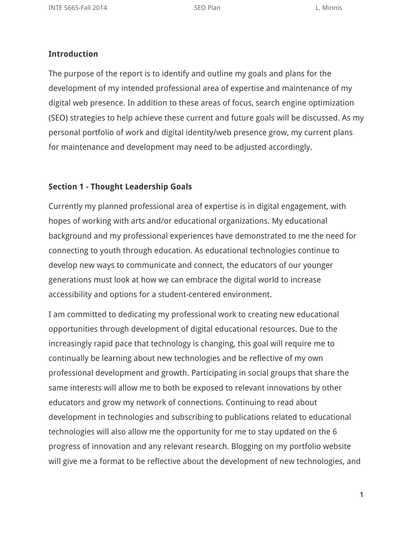#### **Introduction**

The purpose of the report is to identify and outline my goals and plans for the development of my intended professional area of expertise and maintenance of my digital web presence. In addition to these areas of focus, search engine optimization (SEO) strategies to help achieve these current and future goals will be discussed. As my personal portfolio of work and digital identity/web presence grow, my current plans for maintenance and development may need to be adjusted accordingly.

# **Section 1 - Thought Leadership Goals**

Currently my planned professional area of expertise is in digital engagement, with hopes of working with arts and/or educational organizations. My educational background and my professional experiences have demonstrated to me the need for connecting to youth through education. As educational technologies continue to develop new ways to communicate and connect, the educators of our younger generations must look at how we can embrace the digital world to increase accessibility and options for a student-centered environment.

I am committed to dedicating my professional work to creating new educational opportunities through development of digital educational resources. Due to the increasingly rapid pace that technology is changing, this goal will require me to continually be learning about new technologies and be reflective of my own professional development and growth. Participating in social groups that share the same interests will allow me to both be exposed to relevant innovations by other educators and grow my network of connections. Continuing to read about development in technologies and subscribing to publications related to educational technologies will also allow me the opportunity for me to stay updated on the 6 progress of innovation and any relevant research. Blogging on my portfolio website will give me a format to be reflective about the development of new technologies, and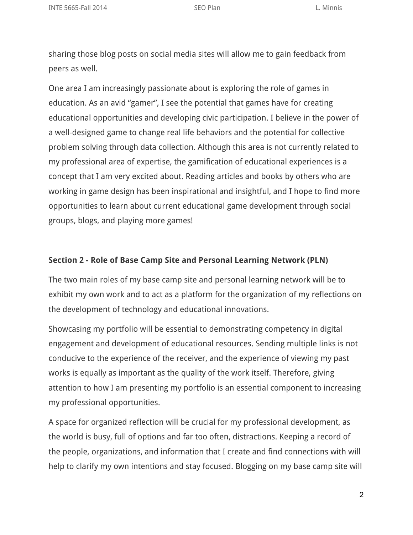sharing those blog posts on social media sites will allow me to gain feedback from peers as well.

One area I am increasingly passionate about is exploring the role of games in education. As an avid "gamer", I see the potential that games have for creating educational opportunities and developing civic participation. I believe in the power of a well-designed game to change real life behaviors and the potential for collective problem solving through data collection. Although this area is not currently related to my professional area of expertise, the gamification of educational experiences is a concept that I am very excited about. Reading articles and books by others who are working in game design has been inspirational and insightful, and I hope to find more opportunities to learn about current educational game development through social groups, blogs, and playing more games!

# **Section 2 - Role of Base Camp Site and Personal Learning Network (PLN)**

The two main roles of my base camp site and personal learning network will be to exhibit my own work and to act as a platform for the organization of my reflections on the development of technology and educational innovations.

Showcasing my portfolio will be essential to demonstrating competency in digital engagement and development of educational resources. Sending multiple links is not conducive to the experience of the receiver, and the experience of viewing my past works is equally as important as the quality of the work itself. Therefore, giving attention to how I am presenting my portfolio is an essential component to increasing my professional opportunities.

A space for organized reflection will be crucial for my professional development, as the world is busy, full of options and far too often, distractions. Keeping a record of the people, organizations, and information that I create and find connections with will help to clarify my own intentions and stay focused. Blogging on my base camp site will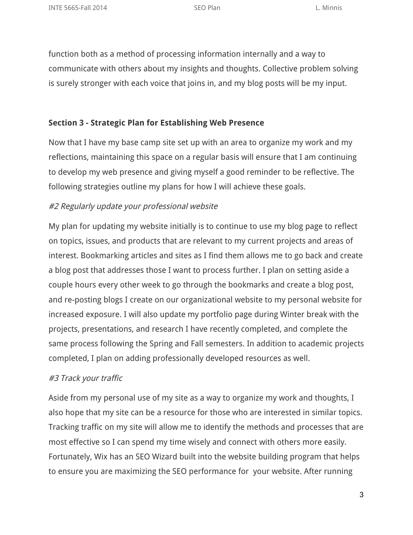function both as a method of processing information internally and a way to communicate with others about my insights and thoughts. Collective problem solving is surely stronger with each voice that joins in, and my blog posts will be my input.

### **Section 3 - Strategic Plan for Establishing Web Presence**

Now that I have my base camp site set up with an area to organize my work and my reflections, maintaining this space on a regular basis will ensure that I am continuing to develop my web presence and giving myself a good reminder to be reflective. The following strategies outline my plans for how I will achieve these goals.

### #2 Regularly update your professional website

My plan for updating my website initially is to continue to use my blog page to reflect on topics, issues, and products that are relevant to my current projects and areas of interest. Bookmarking articles and sites as I find them allows me to go back and create a blog post that addresses those I want to process further. I plan on setting aside a couple hours every other week to go through the bookmarks and create a blog post, and re-posting blogs I create on our organizational website to my personal website for increased exposure. I will also update my portfolio page during Winter break with the projects, presentations, and research I have recently completed, and complete the same process following the Spring and Fall semesters. In addition to academic projects completed, I plan on adding professionally developed resources as well.

### #3 Track your traffic

Aside from my personal use of my site as a way to organize my work and thoughts, I also hope that my site can be a resource for those who are interested in similar topics. Tracking traffic on my site will allow me to identify the methods and processes that are most effective so I can spend my time wisely and connect with others more easily. Fortunately, Wix has an SEO Wizard built into the website building program that helps to ensure you are maximizing the SEO performance for your website. After running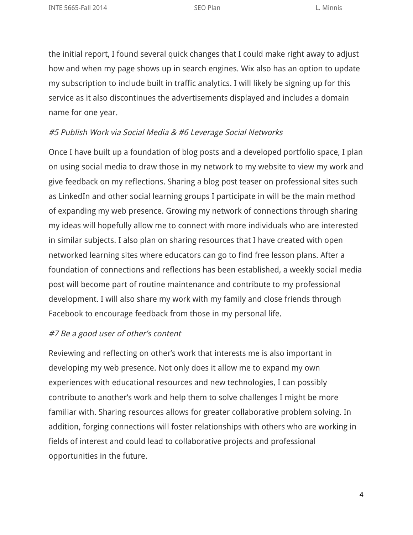the initial report, I found several quick changes that I could make right away to adjust how and when my page shows up in search engines. Wix also has an option to update my subscription to include built in traffic analytics. I will likely be signing up for this service as it also discontinues the advertisements displayed and includes a domain name for one year.

#### #5 Publish Work via Social Media & #6 Leverage Social Networks

Once I have built up a foundation of blog posts and a developed portfolio space, I plan on using social media to draw those in my network to my website to view my work and give feedback on my reflections. Sharing a blog post teaser on professional sites such as LinkedIn and other social learning groups I participate in will be the main method of expanding my web presence. Growing my network of connections through sharing my ideas will hopefully allow me to connect with more individuals who are interested in similar subjects. I also plan on sharing resources that I have created with open networked learning sites where educators can go to find free lesson plans. After a foundation of connections and reflections has been established, a weekly social media post will become part of routine maintenance and contribute to my professional development. I will also share my work with my family and close friends through Facebook to encourage feedback from those in my personal life.

#### #7 Be <sup>a</sup> good user of other's content

Reviewing and reflecting on other's work that interests me is also important in developing my web presence. Not only does it allow me to expand my own experiences with educational resources and new technologies, I can possibly contribute to another's work and help them to solve challenges I might be more familiar with. Sharing resources allows for greater collaborative problem solving. In addition, forging connections will foster relationships with others who are working in fields of interest and could lead to collaborative projects and professional opportunities in the future.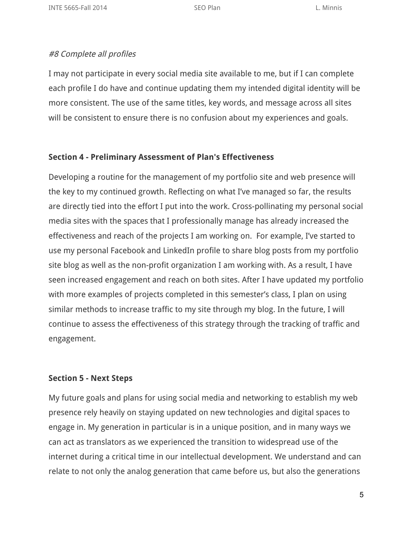# #8 Complete all profiles

I may not participate in every social media site available to me, but if I can complete each profile I do have and continue updating them my intended digital identity will be more consistent. The use of the same titles, key words, and message across all sites will be consistent to ensure there is no confusion about my experiences and goals.

## **Section 4 - Preliminary Assessment of Plan's Effectiveness**

Developing a routine for the management of my portfolio site and web presence will the key to my continued growth. Reflecting on what I've managed so far, the results are directly tied into the effort I put into the work. Cross-pollinating my personal social media sites with the spaces that I professionally manage has already increased the effectiveness and reach of the projects I am working on. For example, I've started to use my personal Facebook and LinkedIn profile to share blog posts from my portfolio site blog as well as the non-profit organization I am working with. As a result, I have seen increased engagement and reach on both sites. After I have updated my portfolio with more examples of projects completed in this semester's class, I plan on using similar methods to increase traffic to my site through my blog. In the future, I will continue to assess the effectiveness of this strategy through the tracking of traffic and engagement.

# **Section 5 - Next Steps**

My future goals and plans for using social media and networking to establish my web presence rely heavily on staying updated on new technologies and digital spaces to engage in. My generation in particular is in a unique position, and in many ways we can act as translators as we experienced the transition to widespread use of the internet during a critical time in our intellectual development. We understand and can relate to not only the analog generation that came before us, but also the generations